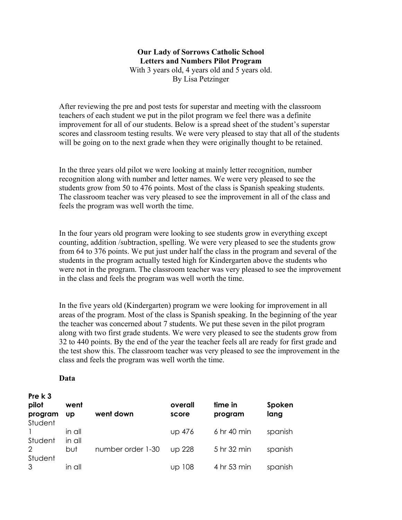## **Our Lady of Sorrows Catholic School Letters and Numbers Pilot Program**  With 3 years old, 4 years old and 5 years old. By Lisa Petzinger

After reviewing the pre and post tests for superstar and meeting with the classroom teachers of each student we put in the pilot program we feel there was a definite improvement for all of our students. Below is a spread sheet of the student's superstar scores and classroom testing results. We were very pleased to stay that all of the students will be going on to the next grade when they were originally thought to be retained.

In the three years old pilot we were looking at mainly letter recognition, number recognition along with number and letter names. We were very pleased to see the students grow from 50 to 476 points. Most of the class is Spanish speaking students. The classroom teacher was very pleased to see the improvement in all of the class and feels the program was well worth the time.

In the four years old program were looking to see students grow in everything except counting, addition /subtraction, spelling. We were very pleased to see the students grow from 64 to 376 points. We put just under half the class in the program and several of the students in the program actually tested high for Kindergarten above the students who were not in the program. The classroom teacher was very pleased to see the improvement in the class and feels the program was well worth the time.

In the five years old (Kindergarten) program we were looking for improvement in all areas of the program. Most of the class is Spanish speaking. In the beginning of the year the teacher was concerned about 7 students. We put these seven in the pilot program along with two first grade students. We were very pleased to see the students grow from 32 to 440 points. By the end of the year the teacher feels all are ready for first grade and the test show this. The classroom teacher was very pleased to see the improvement in the class and feels the program was well worth the time.

## **Data**

**Pre k 3** 

| pilot<br>program<br>Student        | went<br>UD       | went down         | overall<br>score | time in<br>program | Spoken<br>lang |
|------------------------------------|------------------|-------------------|------------------|--------------------|----------------|
| Student                            | in all<br>in all |                   | <b>UD 476</b>    | 6 hr 40 min        | spanish        |
| $\mathcal{D}_{1}^{(1)}$<br>Student | but              | number order 1-30 | <b>UD 228</b>    | 5 hr 32 min        | spanish        |
| 3                                  | in all           |                   | up 108           | 4 hr 53 min        | spanish        |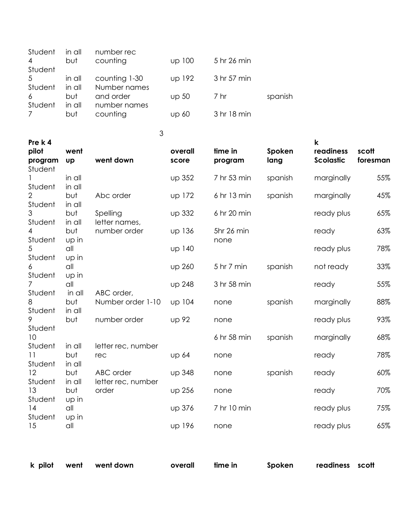| Student | in all | number rec    |              |             |         |
|---------|--------|---------------|--------------|-------------|---------|
| 4       | but    | counting      | up 100       | 5 hr 26 min |         |
| Student |        |               |              |             |         |
| .5      | in all | counting 1-30 | up 192       | 3 hr 57 min |         |
| Student | in all | Number names  |              |             |         |
| 6       | but    | and order     | up 50        | 7 hr        | spanish |
| Student | in all | number names  |              |             |         |
|         | but    | counting      | <b>up 60</b> | 3 hr 18 min |         |
|         |        |               |              |             |         |

3

| Pre k 4<br>pilot<br>program<br>Student                                                            | went<br><b>Up</b> | went down                                | overall<br>score | time in<br>program | Spoken<br>lang | $\mathsf k$<br>readiness<br><b>Scolastic</b> | scott<br>foresman |
|---------------------------------------------------------------------------------------------------|-------------------|------------------------------------------|------------------|--------------------|----------------|----------------------------------------------|-------------------|
| Student                                                                                           | in all<br>in all  |                                          | up 352           | 7 hr 53 min        | spanish        | marginally                                   | 55%               |
| $\overline{2}$<br>Student                                                                         | but<br>in all     | Abc order                                | up 172           | 6 hr 13 min        | spanish        | marginally                                   | 45%               |
| 3<br>Student                                                                                      | but<br>in all     | Spelling<br>letter names,                | up 332           | 6 hr 20 min        |                | ready plus                                   | 65%               |
| 4<br>Student                                                                                      | but<br>up in      | number order                             | up 136           | 5hr 26 min<br>none |                | ready                                        | 63%               |
| 5<br>Student                                                                                      | all<br>up in      |                                          | up 140           |                    |                | ready plus                                   | 78%               |
| 6<br>Student                                                                                      | all<br>up in      |                                          | up 260           | 5 hr 7 min         | spanish        | not ready                                    | 33%               |
| $\overline{7}$<br>Student                                                                         | all<br>in all     | ABC order,                               | <b>up 248</b>    | 3 hr 58 min        |                | ready                                        | 55%               |
| 8<br>Student                                                                                      | but<br>in all     | Number order 1-10                        | up 104           | none               | spanish        | marginally                                   | 88%               |
| 9<br>Student                                                                                      | but               | number order                             | <b>UD 92</b>     | none               |                | ready plus                                   | 93%               |
| 10<br>Student                                                                                     | in all            | letter rec, number                       |                  | 6 hr 58 min        | spanish        | marginally                                   | 68%               |
| but<br>11<br>Student<br>in all<br>12<br>but<br>Student<br>in all<br>13<br>but<br>Student<br>up in |                   | rec                                      | <b>UD 64</b>     | none               |                | ready                                        | 78%               |
|                                                                                                   |                   | ABC order<br>letter rec, number<br>order | <b>up 348</b>    | none               | spanish        | ready                                        | 60%               |
|                                                                                                   |                   |                                          | up 256           | none               |                | ready                                        | 70%               |
| 14<br>Student                                                                                     | all<br>up in      |                                          | up 376           | 7 hr 10 min        |                | ready plus                                   | 75%               |
| 15                                                                                                | $\alpha$ ll       |                                          | up 196           | none               |                | ready plus                                   | 65%               |

|  | k pilot went went down | overall time in | Spoken readiness scott |  |
|--|------------------------|-----------------|------------------------|--|
|  |                        |                 |                        |  |